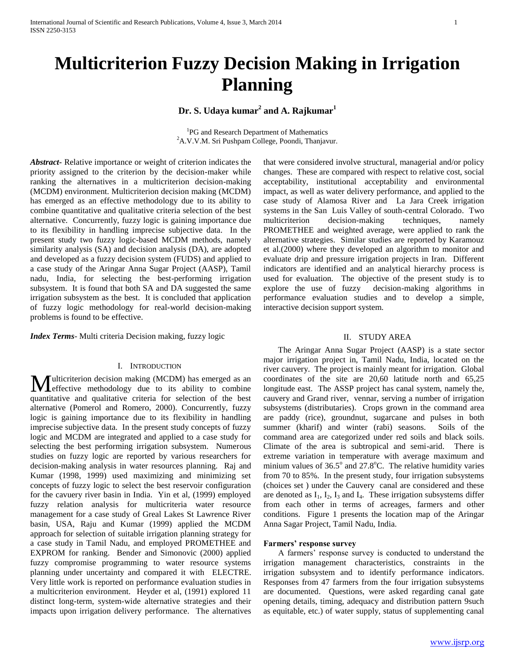# **Multicriterion Fuzzy Decision Making in Irrigation Planning**

**Dr. S. Udaya kumar<sup>2</sup> and A. Rajkumar<sup>1</sup>**

<sup>1</sup>PG and Research Department of Mathematics <sup>2</sup>A.V.V.M. Sri Pushpam College, Poondi, Thanjavur.

*Abstract***-** Relative importance or weight of criterion indicates the priority assigned to the criterion by the decision-maker while ranking the alternatives in a multicriterion decision-making (MCDM) environment. Multicriterion decision making (MCDM) has emerged as an effective methodology due to its ability to combine quantitative and qualitative criteria selection of the best alternative. Concurrently, fuzzy logic is gaining importance due to its flexibility in handling imprecise subjective data. In the present study two fuzzy logic-based MCDM methods, namely similarity analysis (SA) and decision analysis (DA), are adopted and developed as a fuzzy decision system (FUDS) and applied to a case study of the Aringar Anna Sugar Project (AASP), Tamil nadu, India, for selecting the best-performing irrigation subsystem. It is found that both SA and DA suggested the same irrigation subsystem as the best. It is concluded that application of fuzzy logic methodology for real-world decision-making problems is found to be effective.

*Index Terms*- Multi criteria Decision making, fuzzy logic

# I. INTRODUCTION

ulticriterion decision making (MCDM) has emerged as an **M** ulticriterion decision making (MCDM) has emerged as an effective methodology due to its ability to combine quantitative and qualitative criteria for selection of the best alternative (Pomerol and Romero, 2000). Concurrently, fuzzy logic is gaining importance due to its flexibility in handling imprecise subjective data. In the present study concepts of fuzzy logic and MCDM are integrated and applied to a case study for selecting the best performing irrigation subsystem. Numerous studies on fuzzy logic are reported by various researchers for decision-making analysis in water resources planning. Raj and Kumar (1998, 1999) used maximizing and minimizing set concepts of fuzzy logic to select the best reservoir configuration for the cavuery river basin in India. Yin et al, (1999) employed fuzzy relation analysis for multicriteria water resource management for a case study of Greal Lakes St Lawrence River basin, USA, Raju and Kumar (1999) applied the MCDM approach for selection of suitable irrigation planning strategy for a case study in Tamil Nadu, and employed PROMETHEE and EXPROM for ranking. Bender and Simonovic (2000) applied fuzzy compromise programming to water resource systems planning under uncertainty and compared it with ELECTRE. Very little work is reported on performance evaluation studies in a multicriterion environment. Heyder et al, (1991) explored 11 distinct long-term, system-wide alternative strategies and their impacts upon irrigation delivery performance. The alternatives

that were considered involve structural, managerial and/or policy changes. These are compared with respect to relative cost, social acceptability, institutional acceptability and environmental impact, as well as water delivery performance, and applied to the case study of Alamosa River and La Jara Creek irrigation systems in the San Luis Valley of south-central Colorado. Two multicriterion decision-making techniques, namely PROMETHEE and weighted average, were applied to rank the alternative strategies. Similar studies are reported by Karamouz et al.(2000) where they developed an algorithm to monitor and evaluate drip and pressure irrigation projects in Iran. Different indicators are identified and an analytical hierarchy process is used for evaluation. The objective of the present study is to explore the use of fuzzy decision-making algorithms in performance evaluation studies and to develop a simple, interactive decision support system.

#### II. STUDY AREA

 The Aringar Anna Sugar Project (AASP) is a state sector major irrigation project in, Tamil Nadu, India, located on the river cauvery. The project is mainly meant for irrigation. Global coordinates of the site are 20,60 latitude north and 65,25 longitude east. The ASSP project has canal system, namely the, cauvery and Grand river, vennar, serving a number of irrigation subsystems (distributaries). Crops grown in the command area are paddy (rice), groundnut, sugarcane and pulses in both summer (kharif) and winter (rabi) seasons. Soils of the command area are categorized under red soils and black soils. Climate of the area is subtropical and semi-arid. There is extreme variation in temperature with average maximum and minium values of  $36.5^{\circ}$  and  $27.8^{\circ}$ C. The relative humidity varies from 70 to 85%. In the present study, four irrigation subsystems (choices set ) under the Cauvery canal are considered and these are denoted as  $I_1$ ,  $I_2$ ,  $I_3$  and  $I_4$ . These irrigation subsystems differ from each other in terms of acreages, farmers and other conditions. Figure 1 presents the location map of the Aringar Anna Sagar Project, Tamil Nadu, India.

### **Farmers' response survey**

 A farmers' response survey is conducted to understand the irrigation management characteristics, constraints in the irrigation subsystem and to identify performance indicators. Responses from 47 farmers from the four irrigation subsystems are documented. Questions, were asked regarding canal gate opening details, timing, adequacy and distribution pattern 9such as equitable, etc.) of water supply, status of supplementing canal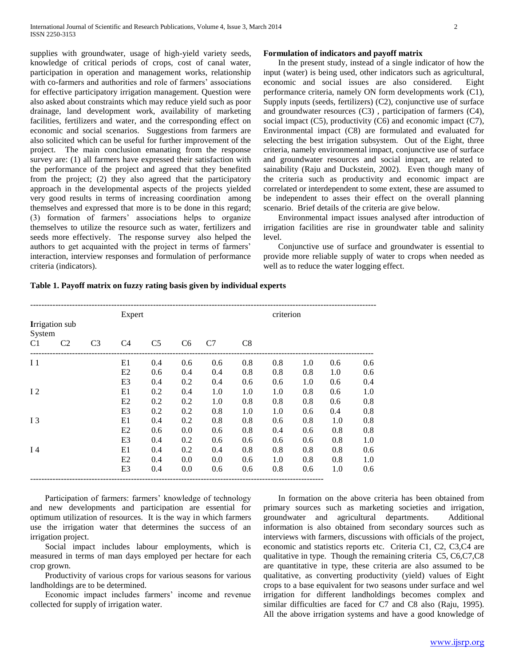supplies with groundwater, usage of high-yield variety seeds, knowledge of critical periods of crops, cost of canal water, participation in operation and management works, relationship with co-farmers and authorities and role of farmers' associations for effective participatory irrigation management. Question were also asked about constraints which may reduce yield such as poor drainage, land development work, availability of marketing facilities, fertilizers and water, and the corresponding effect on economic and social scenarios. Suggestions from farmers are also solicited which can be useful for further improvement of the project. The main conclusion emanating from the response survey are: (1) all farmers have expressed their satisfaction with the performance of the project and agreed that they benefited from the project; (2) they also agreed that the participatory approach in the developmental aspects of the projects yielded very good results in terms of increasing coordination among themselves and expressed that more is to be done in this regard; (3) formation of farmers' associations helps to organize themselves to utilize the resource such as water, fertilizers and seeds more effectively. The response survey also helped the authors to get acquainted with the project in terms of farmers' interaction, interview responses and formulation of performance criteria (indicators).

# **Formulation of indicators and payoff matrix**

 In the present study, instead of a single indicator of how the input (water) is being used, other indicators such as agricultural, economic and social issues are also considered. Eight performance criteria, namely ON form developments work (C1), Supply inputs (seeds, fertilizers) (C2), conjunctive use of surface and groundwater resources (C3) , participation of farmers (C4), social impact (C5), productivity (C6) and economic impact (C7), Environmental impact (C8) are formulated and evaluated for selecting the best irrigation subsystem. Out of the Eight, three criteria, namely environmental impact, conjunctive use of surface and groundwater resources and social impact, are related to sainability (Raju and Duckstein, 2002). Even though many of the criteria such as productivity and economic impact are correlated or interdependent to some extent, these are assumed to be independent to asses their effect on the overall planning scenario. Brief details of the criteria are give below.

 Environmental impact issues analysed after introduction of irrigation facilities are rise in groundwater table and salinity level.

 Conjunctive use of surface and groundwater is essential to provide more reliable supply of water to crops when needed as well as to reduce the water logging effect.

| Table 1. Payoff matrix on fuzzy rating basis given by individual experts |  |  |
|--------------------------------------------------------------------------|--|--|
|                                                                          |  |  |

|                |                |                | Expert         |                |                |     |     | criterion |     |     |     |
|----------------|----------------|----------------|----------------|----------------|----------------|-----|-----|-----------|-----|-----|-----|
| System         | Irrigation sub |                |                |                |                |     |     |           |     |     |     |
| C <sub>1</sub> | C <sub>2</sub> | C <sub>3</sub> | C4             | C <sub>5</sub> | C <sub>6</sub> | C7  | C8  |           |     |     |     |
| I <sub>1</sub> |                |                | E1             | 0.4            | 0.6            | 0.6 | 0.8 | 0.8       | 1.0 | 0.6 | 0.6 |
|                |                |                | E2             | 0.6            | 0.4            | 0.4 | 0.8 | 0.8       | 0.8 | 1.0 | 0.6 |
|                |                |                | E3             | 0.4            | 0.2            | 0.4 | 0.6 | 0.6       | 1.0 | 0.6 | 0.4 |
| 12             |                |                | E1             | 0.2            | 0.4            | 1.0 | 1.0 | 1.0       | 0.8 | 0.6 | 1.0 |
|                |                |                | E2             | 0.2            | 0.2            | 1.0 | 0.8 | 0.8       | 0.8 | 0.6 | 0.8 |
|                |                |                | E <sub>3</sub> | 0.2            | 0.2            | 0.8 | 1.0 | 1.0       | 0.6 | 0.4 | 0.8 |
| I <sub>3</sub> |                |                | E1             | 0.4            | 0.2            | 0.8 | 0.8 | 0.6       | 0.8 | 1.0 | 0.8 |
|                |                |                | E2             | 0.6            | 0.0            | 0.6 | 0.8 | 0.4       | 0.6 | 0.8 | 0.8 |
|                |                |                | E3             | 0.4            | 0.2            | 0.6 | 0.6 | 0.6       | 0.6 | 0.8 | 1.0 |
| I <sub>4</sub> |                |                | E1             | 0.4            | 0.2            | 0.4 | 0.8 | 0.8       | 0.8 | 0.8 | 0.6 |
|                |                |                | E2             | 0.4            | 0.0            | 0.0 | 0.6 | 1.0       | 0.8 | 0.8 | 1.0 |
|                |                |                | E3             | 0.4            | 0.0            | 0.6 | 0.6 | 0.8       | 0.6 | 1.0 | 0.6 |

 Participation of farmers: farmers' knowledge of technology and new developments and participation are essential for optimum utilization of resources. It is the way in which farmers use the irrigation water that determines the success of an irrigation project.

 Social impact includes labour employments, which is measured in terms of man days employed per hectare for each crop grown.

 Productivity of various crops for various seasons for various landholdings are to be determined.

 Economic impact includes farmers' income and revenue collected for supply of irrigation water.

 In formation on the above criteria has been obtained from primary sources such as marketing societies and irrigation, groundwater and agricultural departments. Additional information is also obtained from secondary sources such as interviews with farmers, discussions with officials of the project, economic and statistics reports etc. Criteria C1, C2, C3,C4 are qualitative in type. Though the remaining criteria C5, C6,C7,C8 are quantitative in type, these criteria are also assumed to be qualitative, as converting productivity (yield) values of Eight crops to a base equivalent for two seasons under surface and wel irrigation for different landholdings becomes complex and similar difficulties are faced for C7 and C8 also (Raju, 1995). All the above irrigation systems and have a good knowledge of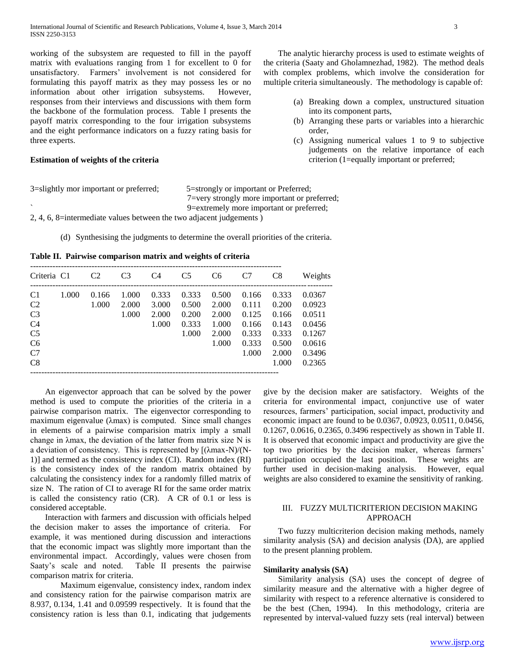working of the subsystem are requested to fill in the payoff matrix with evaluations ranging from 1 for excellent to 0 for unsatisfactory. Farmers' involvement is not considered for formulating this payoff matrix as they may possess les or no information about other irrigation subsystems. However, responses from their interviews and discussions with them form the backbone of the formulation process. Table I presents the payoff matrix corresponding to the four irrigation subsystems and the eight performance indicators on a fuzzy rating basis for three experts.

# **Estimation of weights of the criteria**

 The analytic hierarchy process is used to estimate weights of the criteria (Saaty and Gholamnezhad, 1982). The method deals with complex problems, which involve the consideration for multiple criteria simultaneously. The methodology is capable of:

- (a) Breaking down a complex, unstructured situation into its component parts,
- (b) Arranging these parts or variables into a hierarchic order,
- (c) Assigning numerical values 1 to 9 to subjective judgements on the relative importance of each criterion (1=equally important or preferred;

3=slightly mor important or preferred; 5=strongly or important or Preferred;

 7=very strongly more important or preferred; ` 9=extremely more important or preferred;

2, 4, 6, 8=intermediate values between the two adjacent judgements )

(d) Synthesising the judgments to determine the overall priorities of the criteria.

**Table II. Pairwise comparison matrix and weights of criteria** 

| Criteria C1                                                                                                          |       | C <sub>2</sub> | C <sub>3</sub>          | C4                               | C <sub>5</sub>                            | C <sub>6</sub>                                     | C7                                                          | C8                                                                   | Weights                                                                      |
|----------------------------------------------------------------------------------------------------------------------|-------|----------------|-------------------------|----------------------------------|-------------------------------------------|----------------------------------------------------|-------------------------------------------------------------|----------------------------------------------------------------------|------------------------------------------------------------------------------|
| C <sub>1</sub><br>C <sub>2</sub><br>C <sub>3</sub><br>C <sub>4</sub><br>C <sub>5</sub><br>C <sub>6</sub><br>C7<br>C8 | 1.000 | 0.166<br>1.000 | 1.000<br>2.000<br>1.000 | 0.333<br>3.000<br>2.000<br>1.000 | 0.333<br>0.500<br>0.200<br>0.333<br>1.000 | 0.500<br>2.000<br>2.000<br>1.000<br>2.000<br>1.000 | 0.166<br>0.111<br>0.125<br>0.166<br>0.333<br>0.333<br>1.000 | 0.333<br>0.200<br>0.166<br>0.143<br>0.333<br>0.500<br>2.000<br>1.000 | 0.0367<br>0.0923<br>0.0511<br>0.0456<br>0.1267<br>0.0616<br>0.3496<br>0.2365 |

 An eigenvector approach that can be solved by the power method is used to compute the priorities of the criteria in a pairwise comparison matrix. The eigenvector corresponding to maximum eigenvalue (λmax) is computed. Since small changes in elements of a pairwise comparision matrix imply a small change in λmax, the deviation of the latter from matrix size N is a deviation of consistency. This is represented by [(λmax-N)/(N-1)] and termed as the consistency index (CI). Random index (RI) is the consistency index of the random matrix obtained by calculating the consistency index for a randomly filled matrix of size N. The ration of CI to average RI for the same order matrix is called the consistency ratio (CR). A CR of 0.1 or less is considered acceptable.

 Interaction with farmers and discussion with officials helped the decision maker to asses the importance of criteria. For example, it was mentioned during discussion and interactions that the economic impact was slightly more important than the environmental impact. Accordingly, values were chosen from Saaty's scale and noted. Table II presents the pairwise comparison matrix for criteria.

Maximum eigenvalue, consistency index, random index and consistency ration for the pairwise comparison matrix are 8.937, 0.134, 1.41 and 0.09599 respectively. It is found that the consistency ration is less than 0.1, indicating that judgements

give by the decision maker are satisfactory. Weights of the criteria for environmental impact, conjunctive use of water resources, farmers' participation, social impact, productivity and economic impact are found to be 0.0367, 0.0923, 0.0511, 0.0456, 0.1267, 0.0616, 0.2365, 0.3496 respectively as shown in Table II. It is observed that economic impact and productivity are give the top two priorities by the decision maker, whereas farmers' participation occupied the last position. These weights are further used in decision-making analysis. However, equal weights are also considered to examine the sensitivity of ranking.

# III. FUZZY MULTICRITERION DECISION MAKING APPROACH

 Two fuzzy multicriterion decision making methods, namely similarity analysis (SA) and decision analysis (DA), are applied to the present planning problem.

# **Similarity analysis (SA)**

 Similarity analysis (SA) uses the concept of degree of similarity measure and the alternative with a higher degree of similarity with respect to a reference alternative is considered to be the best (Chen, 1994). In this methodology, criteria are represented by interval-valued fuzzy sets (real interval) between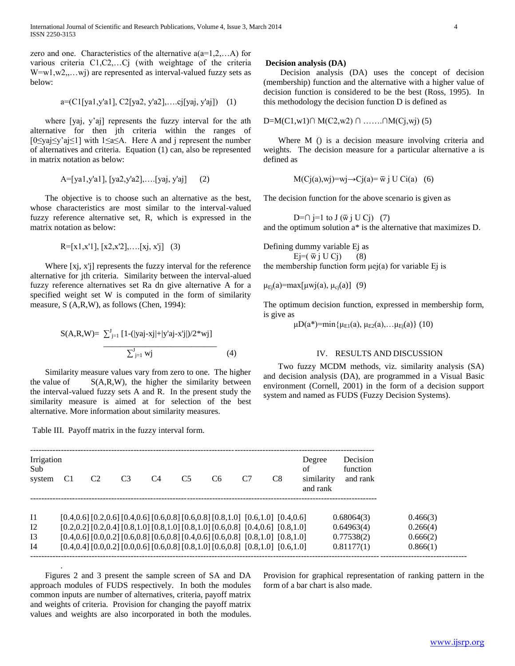zero and one. Characteristics of the alternative  $a(a=1,2,...A)$  for various criteria C1,C2,…Cj (with weightage of the criteria  $W=w1,w2,...,wj$  are represented as interval-valued fuzzy sets as below:

$$
a = (C1[ya1, y'a1], C2[ya2, y'a2], \dots cj[yaj, y'aj]) \quad (1)
$$

 where [yaj, y'aj] represents the fuzzy interval for the ath alternative for then jth criteria within the ranges of [0≤yaj≤y'aj≤1] with 1≤a≤A. Here A and j represent the number of alternatives and criteria. Equation (1) can, also be represented in matrix notation as below:

$$
A=[ya1,y'a1], [ya2,y'a2], \dots [yaj, y'aj]
$$
 (2)

 The objective is to choose such an alternative as the best, whose characteristics are most similar to the interval-valued fuzzy reference alternative set, R, which is expressed in the matrix notation as below:

$$
R = [x1, x'1], [x2, x'2], \dots [xj, x'j]
$$
 (3)

 Where [xj, x'j] represents the fuzzy interval for the reference alternative for jth criteria. Similarity between the interval-alued fuzzy reference alternatives set Ra dn give alternative A for a specified weight set W is computed in the form of similarity measure, S (A,R,W), as follows (Chen, 1994):

$$
S(A,R,W)=\frac{\sum_{j=1}^{J} [1-(|yaj-xj|+|y'aj-x'j|)/2*wj]}{\sum_{j=1}^{J}wj}
$$
(4)

 Similarity measure values vary from zero to one. The higher the value of  $S(A,R,W)$ , the higher the similarity between the interval-valued fuzzy sets A and R. In the present study the similarity measure is aimed at for selection of the best alternative. More information about similarity measures.

Table III. Payoff matrix in the fuzzy interval form.

.

#### **Decision analysis (DA)**

 Decision analysis (DA) uses the concept of decision (membership) function and the alternative with a higher value of decision function is considered to be the best (Ross, 1995). In this methodology the decision function D is defined as

D=M(C1,w1)∩ M(C2,w2) ∩ ……. ∩M(Cj,wj) (5)

Where M () is a decision measure involving criteria and weights. The decision measure for a particular alternative a is defined as

$$
M(Cj(a), wj) = wj \rightarrow Cj(a) = \bar{w} j U Ci(a) \quad (6)
$$

The decision function for the above scenario is given as

D= $\cap$  j=1 to J ( $\overline{w}$  j U Cj) (7) and the optimum solution a\* is the alternative that maximizes D.

Defining dummy variable Ej as  $Ej=(\bar{w}j U Cj)$  (8) the membership function form  $\mu$ ej(a) for variable Ej is

 $\mu_{\text{Ei}}(a) = \max[\mu_{\text{Wi}}(a), \mu_{\text{ci}}(a)]$  (9)

The optimum decision function, expressed in membership form, is give as

 $\mu D(a^*)$ =min{ $\mu_{E1}(a), \mu_{E2}(a), \ldots, \mu_{Ei}(a)$ } (10)

# IV. RESULTS AND DISCUSSION

 Two fuzzy MCDM methods, viz. similarity analysis (SA) and decision analysis (DA), are programmed in a Visual Basic environment (Cornell, 2001) in the form of a decision support system and named as FUDS (Fuzzy Decision Systems).

| Irrigation<br>Sub<br>system | C1 | C <sub>2</sub> | C3 | C <sub>4</sub> | C <sub>5</sub>                                                                                          | C6 | C8 | Degree<br>of<br>similarity<br>and rank | Decision<br>function<br>and rank |          |
|-----------------------------|----|----------------|----|----------------|---------------------------------------------------------------------------------------------------------|----|----|----------------------------------------|----------------------------------|----------|
| $\mathbf{I}$                |    |                |    |                | $[0.4, 0.6]$ $[0.2, 0.6]$ $[0.4, 0.6]$ $[0.6, 0.8]$ $[0.6, 0.8]$ $[0.8, 1.0]$ $[0.6, 1.0]$ $[0.4, 0.6]$ |    |    |                                        | 0.68064(3)                       | 0.466(3) |
| 12                          |    |                |    |                | $[0.2, 0.2]$ $[0.2, 0.4]$ $[0.8, 1.0]$ $[0.8, 1.0]$ $[0.8, 1.0]$ $[0.6, 0.8]$ $[0.4, 0.6]$ $[0.8, 1.0]$ |    |    |                                        | 0.64963(4)                       | 0.266(4) |
| I <sub>3</sub>              |    |                |    |                | $[0.4, 0.6]$ $[0.0, 0.2]$ $[0.6, 0.8]$ $[0.6, 0.8]$ $[0.4, 0.6]$ $[0.6, 0.8]$ $[0.8, 1.0]$ $[0.8, 1.0]$ |    |    |                                        | 0.77538(2)                       | 0.666(2) |
| I <sub>4</sub>              |    |                |    |                | $[0.4, 0.4]$ $[0.0, 0.2]$ $[0.0, 0.6]$ $[0.6, 0.8]$ $[0.8, 1.0]$ $[0.6, 0.8]$ $[0.8, 1.0]$ $[0.6, 1.0]$ |    |    |                                        | 0.81177(1)                       | 0.866(1) |

 Figures 2 and 3 present the sample screen of SA and DA approach modules of FUDS respectively. In both the modules common inputs are number of alternatives, criteria, payoff matrix and weights of criteria. Provision for changing the payoff matrix values and weights are also incorporated in both the modules.

Provision for graphical representation of ranking pattern in the form of a bar chart is also made.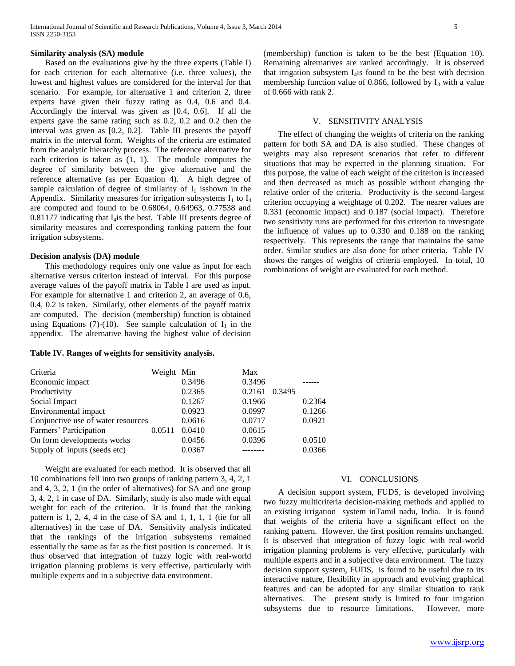# **Similarity analysis (SA) module**

 Based on the evaluations give by the three experts (Table I) for each criterion for each alternative (i.e. three values), the lowest and highest values are considered for the interval for that scenario. For example, for alternative 1 and criterion 2, three experts have given their fuzzy rating as 0.4, 0.6 and 0.4. Accordingly the interval was given as [0.4, 0.6]. If all the experts gave the same rating such as 0.2, 0.2 and 0.2 then the interval was given as [0.2, 0.2]. Table III presents the payoff matrix in the interval form. Weights of the criteria are estimated from the analytic hierarchy process. The reference alternative for each criterion is taken as (1, 1). The module computes the degree of similarity between the give alternative and the reference alternative (as per Equation 4). A high degree of sample calculation of degree of similarity of  $I_1$  isshown in the Appendix. Similarity measures for irrigation subsystems  $I_1$  to  $I_4$ are computed and found to be 0.68064, 0.64963, 0.77538 and  $0.81177$  indicating that I<sub>4</sub>is the best. Table III presents degree of similarity measures and corresponding ranking pattern the four irrigation subsystems.

#### **Decision analysis (DA) module**

 This methodology requires only one value as input for each alternative versus criterion instead of interval. For this purpose average values of the payoff matrix in Table I are used as input. For example for alternative 1 and criterion 2, an average of 0.6, 0.4, 0.2 is taken. Similarly, other elements of the payoff matrix are computed. The decision (membership) function is obtained using Equations (7)-(10). See sample calculation of  $I_1$  in the appendix. The alternative having the highest value of decision

#### **Table IV. Ranges of weights for sensitivity analysis.**

(membership) function is taken to be the best (Equation 10). Remaining alternatives are ranked accordingly. It is observed that irrigation subsystem  $I_4$  is found to be the best with decision membership function value of 0.866, followed by  $I_3$  with a value of 0.666 with rank 2.

#### V. SENSITIVITY ANALYSIS

 The effect of changing the weights of criteria on the ranking pattern for both SA and DA is also studied. These changes of weights may also represent scenarios that refer to different situations that may be expected in the planning situation. For this purpose, the value of each weight of the criterion is increased and then decreased as much as possible without changing the relative order of the criteria. Productivity is the second-largest criterion occupying a weightage of 0.202. The nearer values are 0.331 (economic impact) and 0.187 (social impact). Therefore two sensitivity runs are performed for this criterion to investigate the influence of values up to 0.330 and 0.188 on the ranking respectively. This represents the range that maintains the same order. Similar studies are also done for other criteria. Table IV shows the ranges of weights of criteria employed. In total, 10 combinations of weight are evaluated for each method.

| Criteria                           | Weight Min |        | Max              |        |
|------------------------------------|------------|--------|------------------|--------|
| Economic impact                    |            | 0.3496 | 0.3496           |        |
| Productivity                       |            | 0.2365 | 0.2161<br>0.3495 |        |
| Social Impact                      |            | 0.1267 | 0.1966           | 0.2364 |
| Environmental impact               |            | 0.0923 | 0.0997           | 0.1266 |
| Conjunctive use of water resources |            | 0.0616 | 0.0717           | 0.0921 |
| Farmers' Participation             | 0.0511     | 0.0410 | 0.0615           |        |
| On form developments works         |            | 0.0456 | 0.0396           | 0.0510 |
| Supply of inputs (seeds etc)       |            | 0.0367 |                  | 0.0366 |
|                                    |            |        |                  |        |

 Weight are evaluated for each method. It is observed that all 10 combinations fell into two groups of ranking pattern 3, 4, 2, 1 and 4, 3, 2, 1 (in the order of alternatives) for SA and one group 3, 4, 2, 1 in case of DA. Similarly, study is also made with equal weight for each of the criterion. It is found that the ranking pattern is 1, 2, 4, 4 in the case of SA and 1, 1, 1, 1 (tie for all alternatives) in the case of DA. Sensitivity analysis indicated that the rankings of the irrigation subsystems remained essentially the same as far as the first position is concerned. It is thus observed that integration of fuzzy logic with real-world irrigation planning problems is very effective, particularly with multiple experts and in a subjective data environment.

# VI. CONCLUSIONS

 A decision support system, FUDS, is developed involving two fuzzy multicriteria decision-making methods and applied to an existing irrigation system inTamil nadu, India. It is found that weights of the criteria have a significant effect on the ranking pattern. However, the first position remains unchanged. It is observed that integration of fuzzy logic with real-world irrigation planning problems is very effective, particularly with multiple experts and in a subjective data environment. The fuzzy decision support system, FUDS, is found to be useful due to its interactive nature, flexibility in approach and evolving graphical features and can be adopted for any similar situation to rank alternatives. The present study is limited to four irrigation subsystems due to resource limitations. However, more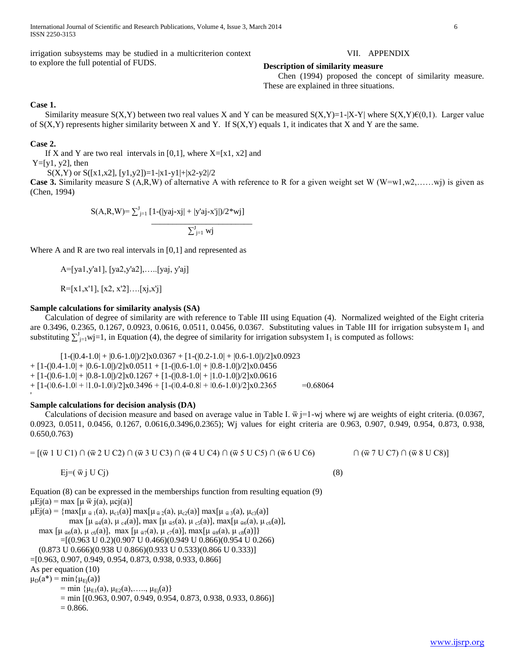International Journal of Scientific and Research Publications, Volume 4, Issue 3, March 2014 6 ISSN 2250-3153

irrigation subsystems may be studied in a multicriterion context to explore the full potential of FUDS.

# VII. APPENDIX

**Description of similarity measure** 

 Chen (1994) proposed the concept of similarity measure. These are explained in three situations.

# **Case 1.**

Similarity measure S(X,Y) between two real values X and Y can be measured S(X,Y)=1-|X-Y| where S(X,Y) $\mathcal{E}(0,1)$ . Larger value of  $S(X,Y)$  represents higher similarity between X and Y. If  $S(X,Y)$  equals 1, it indicates that X and Y are the same.

# **Case 2.**

If X and Y are two real intervals in [0,1], where  $X=[x1, x2]$  and  $Y=[y1, y2]$ , then

 $S(X,Y)$  or  $S([x1,x2], [y1,y2])=1-|x1-y1|+|x2-y2|/2$ 

**Case 3.** Similarity measure S (A,R,W) of alternative A with reference to R for a given weight set W (W=w1,w2,....,wi) is given as (Chen, 1994)

$$
S(A,R,W) = \sum_{j=1}^{J} [1-(|yaj-xj| + |y'aj-x'j|)/2*wy]
$$
  

$$
\sum_{j=1}^{J} {wy}
$$

Where A and R are two real intervals in  $[0,1]$  and represented as

A=[ya1,y'a1], [ya2,y'a2],…..[yaj, y'aj]

R=[x1,x'1], [x2, x'2]….[xj,x'j]

# **Sample calculations for similarity analysis (SA)**

 Calculation of degree of similarity are with reference to Table III using Equation (4). Normalized weighted of the Eight criteria are 0.3496, 0.2365, 0.1267, 0.0923, 0.0616, 0.0511, 0.0456, 0.0367. Substituting values in Table III for irrigation subsystem I<sub>1</sub> and substituting  $\sum_{j=1}^{J}$  wj=1, in Equation (4), the degree of similarity for irrigation subsystem  $I_1$  is computed as follows:

 $[1-(|0.4-1.0|+|0.6-1.0|)/2] \times 0.0367 + [1-(|0.2-1.0|+|0.6-1.0|)/2] \times 0.0923$  $+$  [1-( $(0.4-1.0]$  +  $(0.6-1.0]$ )/2]x $0.0511$  + [1-( $(0.6-1.0]$  +  $(0.8-1.0]$ )/2]x $0.0456$  $+$  [1-( $|0.6$ -1.0 $|$  +  $|0.8$ -1.0 $|$ )/2]x0.1267 + [1-( $|0.8$ -1.0 $|$  +  $|1.0$ -1.0 $|$ )/2]x0.0616  $+$  [1-( $(0.6-1.0]$  +  $(1.0-1.0]$ )/2]x0.3496 + [1-( $(0.4-0.8]$  +  $(0.6-1.0]$ )/2]x0.2365 =0.68064

# **Sample calculations for decision analysis (DA)**

Calculations of decision measure and based on average value in Table I.  $\bar{w}$  j=1-wj where wj are weights of eight criteria. (0.0367, 0.0923, 0.0511, 0.0456, 0.1267, 0.0616,0.3496,0.2365); Wj values for eight criteria are 0.963, 0.907, 0.949, 0.954, 0.873, 0.938, 0.650,0.763)

= [(ѿ 1 U C1) ∩ (ѿ 2 U C2) ∩ (ѿ 3 U C3) ∩ (ѿ 4 U C4) ∩ (ѿ 5 U C5) ∩ (ѿ 6 U C6) ∩ (ѿ 7 U C7) ∩ (ѿ 8 U C8)]

Ej=( $\bar{w}$  j U Cj) (8)

Equation (8) can be expressed in the memberships function from resulting equation (9)  $\mu$ Ej(a) = max [ $\mu \bar{w}$  j(a),  $\mu$ cj(a)]  $\mu$ Ej(a) = {max[ $\mu_{\bar{w}1}(a)$ ,  $\mu_{c1}(a)$ ] max[ $\mu_{\bar{w}2}(a)$ ,  $\mu_{c2}(a)$ ] max[ $\mu_{\bar{w}3}(a)$ ,  $\mu_{c3}(a)$ ] max  $[\mu_{\bar{w}4}(a), \mu_{c4}(a)]$ , max  $[\mu_{\bar{w}5}(a), \mu_{c5}(a)]$ , max $[\mu_{\bar{w}6}(a), \mu_{c6}(a)]$ , max [ $\mu_{\bar{w6}}(a), \mu_{c6}(a)$ ], max [ $\mu_{\bar{w7}}(a), \mu_{c7}(a)$ ], max[ $\mu_{\bar{w8}}(a), \mu_{c8}(a)$ ]} =[(0.963 U 0.2)(0.907 U 0.466)(0.949 U 0.866)(0.954 U 0.266) (0.873 U 0.666)(0.938 U 0.866)(0.933 U 0.533)(0.866 U 0.333)] =[0.963, 0.907, 0.949, 0.954, 0.873, 0.938, 0.933, 0.866] As per equation (10)  $\mu_D(a^*) = \min\{\mu_{E_i}(a)\}\$ = min { $\mu_{E1}(a)$ ,  $\mu_{E2}(a)$ , ....,  $\mu_{E1}(a)$ }  $=$  min  $[(0.963, 0.907, 0.949, 0.954, 0.873, 0.938, 0.933, 0.866)]$  $= 0.866.$